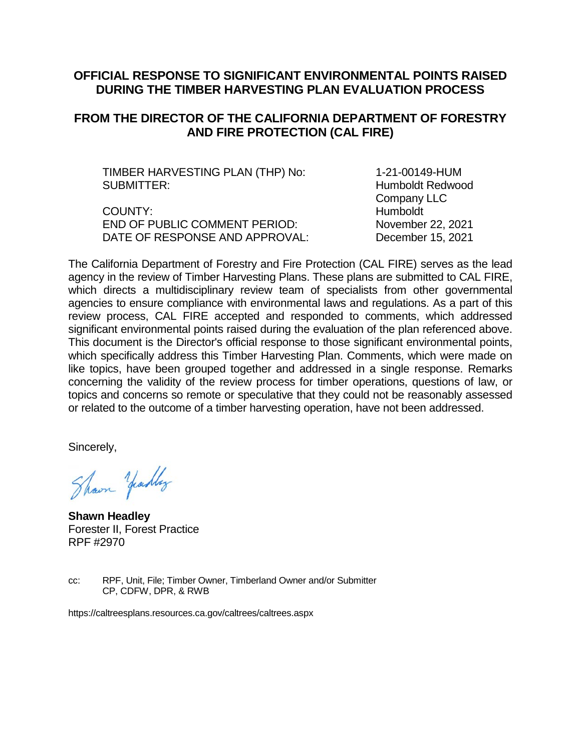### **OFFICIAL RESPONSE TO SIGNIFICANT ENVIRONMENTAL POINTS RAISED DURING THE TIMBER HARVESTING PLAN EVALUATION PROCESS**

## **FROM THE DIRECTOR OF THE CALIFORNIA DEPARTMENT OF FORESTRY AND FIRE PROTECTION (CAL FIRE)**

TIMBER HARVESTING PLAN (THP) No: 1-21-00149-HUM SUBMITTER: **Humboldt Redwood** 

COUNTY: Humboldt END OF PUBLIC COMMENT PERIOD: November 22, 2021 DATE OF RESPONSE AND APPROVAL: December 15, 2021

Company LLC

The California Department of Forestry and Fire Protection (CAL FIRE) serves as the lead agency in the review of Timber Harvesting Plans. These plans are submitted to CAL FIRE, which directs a multidisciplinary review team of specialists from other governmental agencies to ensure compliance with environmental laws and regulations. As a part of this review process, CAL FIRE accepted and responded to comments, which addressed significant environmental points raised during the evaluation of the plan referenced above. This document is the Director's official response to those significant environmental points, which specifically address this Timber Harvesting Plan. Comments, which were made on like topics, have been grouped together and addressed in a single response. Remarks concerning the validity of the review process for timber operations, questions of law, or topics and concerns so remote or speculative that they could not be reasonably assessed or related to the outcome of a timber harvesting operation, have not been addressed.

Sincerely,

Shown Yeadley

**Shawn Headley** Forester II, Forest Practice RPF #2970

cc: RPF, Unit, File; Timber Owner, Timberland Owner and/or Submitter CP, CDFW, DPR, & RWB

https://caltreesplans.resources.ca.gov/caltrees/caltrees.aspx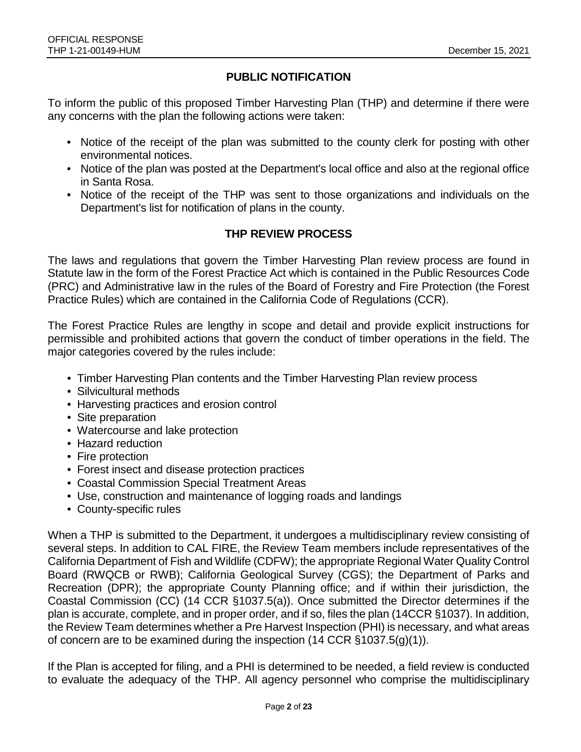## **PUBLIC NOTIFICATION**

To inform the public of this proposed Timber Harvesting Plan (THP) and determine if there were any concerns with the plan the following actions were taken:

- Notice of the receipt of the plan was submitted to the county clerk for posting with other environmental notices.
- Notice of the plan was posted at the Department's local office and also at the regional office in Santa Rosa.
- Notice of the receipt of the THP was sent to those organizations and individuals on the Department's list for notification of plans in the county.

## **THP REVIEW PROCESS**

The laws and regulations that govern the Timber Harvesting Plan review process are found in Statute law in the form of the Forest Practice Act which is contained in the Public Resources Code (PRC) and Administrative law in the rules of the Board of Forestry and Fire Protection (the Forest Practice Rules) which are contained in the California Code of Regulations (CCR).

The Forest Practice Rules are lengthy in scope and detail and provide explicit instructions for permissible and prohibited actions that govern the conduct of timber operations in the field. The major categories covered by the rules include:

- Timber Harvesting Plan contents and the Timber Harvesting Plan review process
- Silvicultural methods
- Harvesting practices and erosion control
- Site preparation
- Watercourse and lake protection
- Hazard reduction
- Fire protection
- Forest insect and disease protection practices
- Coastal Commission Special Treatment Areas
- Use, construction and maintenance of logging roads and landings
- County-specific rules

When a THP is submitted to the Department, it undergoes a multidisciplinary review consisting of several steps. In addition to CAL FIRE, the Review Team members include representatives of the California Department of Fish and Wildlife (CDFW); the appropriate Regional Water Quality Control Board (RWQCB or RWB); California Geological Survey (CGS); the Department of Parks and Recreation (DPR); the appropriate County Planning office; and if within their jurisdiction, the Coastal Commission (CC) (14 CCR §1037.5(a)). Once submitted the Director determines if the plan is accurate, complete, and in proper order, and if so, files the plan (14CCR §1037). In addition, the Review Team determines whether a Pre Harvest Inspection (PHI) is necessary, and what areas of concern are to be examined during the inspection (14 CCR §1037.5(g)(1)).

If the Plan is accepted for filing, and a PHI is determined to be needed, a field review is conducted to evaluate the adequacy of the THP. All agency personnel who comprise the multidisciplinary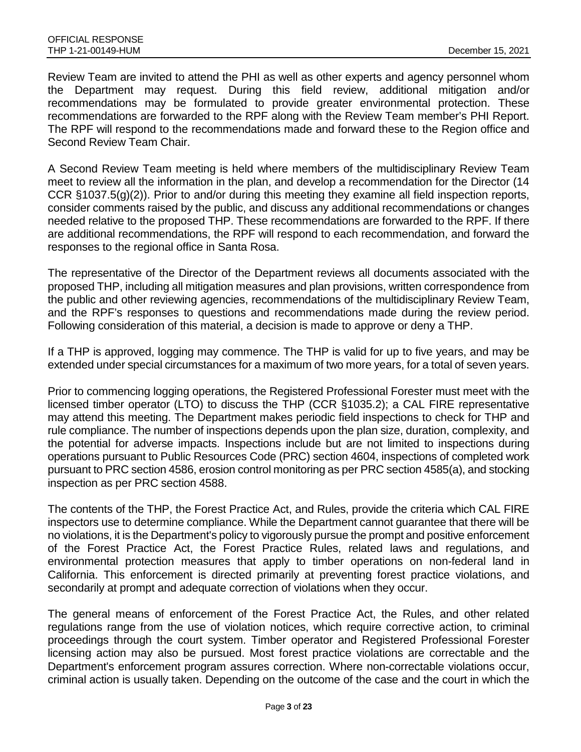Review Team are invited to attend the PHI as well as other experts and agency personnel whom the Department may request. During this field review, additional mitigation and/or recommendations may be formulated to provide greater environmental protection. These recommendations are forwarded to the RPF along with the Review Team member's PHI Report. The RPF will respond to the recommendations made and forward these to the Region office and Second Review Team Chair.

A Second Review Team meeting is held where members of the multidisciplinary Review Team meet to review all the information in the plan, and develop a recommendation for the Director (14 CCR §1037.5(g)(2)). Prior to and/or during this meeting they examine all field inspection reports, consider comments raised by the public, and discuss any additional recommendations or changes needed relative to the proposed THP. These recommendations are forwarded to the RPF. If there are additional recommendations, the RPF will respond to each recommendation, and forward the responses to the regional office in Santa Rosa.

The representative of the Director of the Department reviews all documents associated with the proposed THP, including all mitigation measures and plan provisions, written correspondence from the public and other reviewing agencies, recommendations of the multidisciplinary Review Team, and the RPF's responses to questions and recommendations made during the review period. Following consideration of this material, a decision is made to approve or deny a THP.

If a THP is approved, logging may commence. The THP is valid for up to five years, and may be extended under special circumstances for a maximum of two more years, for a total of seven years.

Prior to commencing logging operations, the Registered Professional Forester must meet with the licensed timber operator (LTO) to discuss the THP (CCR §1035.2); a CAL FIRE representative may attend this meeting. The Department makes periodic field inspections to check for THP and rule compliance. The number of inspections depends upon the plan size, duration, complexity, and the potential for adverse impacts. Inspections include but are not limited to inspections during operations pursuant to Public Resources Code (PRC) section 4604, inspections of completed work pursuant to PRC section 4586, erosion control monitoring as per PRC section 4585(a), and stocking inspection as per PRC section 4588.

The contents of the THP, the Forest Practice Act, and Rules, provide the criteria which CAL FIRE inspectors use to determine compliance. While the Department cannot guarantee that there will be no violations, it is the Department's policy to vigorously pursue the prompt and positive enforcement of the Forest Practice Act, the Forest Practice Rules, related laws and regulations, and environmental protection measures that apply to timber operations on non-federal land in California. This enforcement is directed primarily at preventing forest practice violations, and secondarily at prompt and adequate correction of violations when they occur.

The general means of enforcement of the Forest Practice Act, the Rules, and other related regulations range from the use of violation notices, which require corrective action, to criminal proceedings through the court system. Timber operator and Registered Professional Forester licensing action may also be pursued. Most forest practice violations are correctable and the Department's enforcement program assures correction. Where non-correctable violations occur, criminal action is usually taken. Depending on the outcome of the case and the court in which the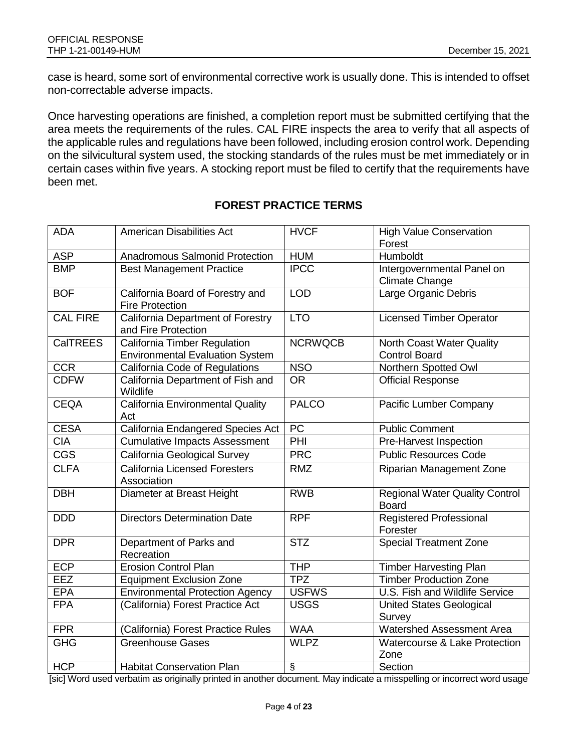case is heard, some sort of environmental corrective work is usually done. This is intended to offset non-correctable adverse impacts.

Once harvesting operations are finished, a completion report must be submitted certifying that the area meets the requirements of the rules. CAL FIRE inspects the area to verify that all aspects of the applicable rules and regulations have been followed, including erosion control work. Depending on the silvicultural system used, the stocking standards of the rules must be met immediately or in certain cases within five years. A stocking report must be filed to certify that the requirements have been met.

| <b>ADA</b>             | <b>American Disabilities Act</b>                                              | <b>HVCF</b>             | <b>High Value Conservation</b><br>Forest              |
|------------------------|-------------------------------------------------------------------------------|-------------------------|-------------------------------------------------------|
| <b>ASP</b>             | <b>Anadromous Salmonid Protection</b>                                         | <b>HUM</b>              | Humboldt                                              |
| <b>BMP</b>             | <b>Best Management Practice</b>                                               | <b>IPCC</b>             | Intergovernmental Panel on<br><b>Climate Change</b>   |
| <b>BOF</b>             | California Board of Forestry and<br><b>Fire Protection</b>                    | <b>LOD</b>              | Large Organic Debris                                  |
| <b>CAL FIRE</b>        | California Department of Forestry<br>and Fire Protection                      | <b>LTO</b>              | <b>Licensed Timber Operator</b>                       |
| <b>CalTREES</b>        | <b>California Timber Regulation</b><br><b>Environmental Evaluation System</b> | <b>NCRWQCB</b>          | North Coast Water Quality<br><b>Control Board</b>     |
| <b>CCR</b>             | California Code of Regulations                                                | <b>NSO</b>              | Northern Spotted Owl                                  |
| <b>CDFW</b>            | California Department of Fish and<br>Wildlife                                 | <b>OR</b>               | <b>Official Response</b>                              |
| <b>CEQA</b>            | California Environmental Quality<br>Act                                       | <b>PALCO</b>            | Pacific Lumber Company                                |
| <b>CESA</b>            | California Endangered Species Act                                             | PC                      | <b>Public Comment</b>                                 |
| <b>CIA</b>             | <b>Cumulative Impacts Assessment</b>                                          | PHI                     | Pre-Harvest Inspection                                |
| $\overline{\text{CS}}$ | California Geological Survey                                                  | <b>PRC</b>              | <b>Public Resources Code</b>                          |
| <b>CLFA</b>            | <b>California Licensed Foresters</b><br>Association                           | <b>RMZ</b>              | <b>Riparian Management Zone</b>                       |
| <b>DBH</b>             | Diameter at Breast Height                                                     | <b>RWB</b>              | <b>Regional Water Quality Control</b><br><b>Board</b> |
| <b>DDD</b>             | <b>Directors Determination Date</b>                                           | <b>RPF</b>              | <b>Registered Professional</b><br>Forester            |
| <b>DPR</b>             | Department of Parks and<br>Recreation                                         | $\overline{\text{STZ}}$ | <b>Special Treatment Zone</b>                         |
| <b>ECP</b>             | <b>Erosion Control Plan</b>                                                   | <b>THP</b>              | <b>Timber Harvesting Plan</b>                         |
| EEZ                    | <b>Equipment Exclusion Zone</b>                                               | <b>TPZ</b>              | <b>Timber Production Zone</b>                         |
| <b>EPA</b>             | <b>Environmental Protection Agency</b>                                        | <b>USFWS</b>            | U.S. Fish and Wildlife Service                        |
| <b>FPA</b>             | (California) Forest Practice Act                                              | <b>USGS</b>             | <b>United States Geological</b><br>Survey             |
| <b>FPR</b>             | (California) Forest Practice Rules                                            | <b>WAA</b>              | <b>Watershed Assessment Area</b>                      |
| <b>GHG</b>             | <b>Greenhouse Gases</b>                                                       | <b>WLPZ</b>             | Watercourse & Lake Protection<br>Zone                 |
| <b>HCP</b>             | <b>Habitat Conservation Plan</b>                                              | $\overline{\S}$         | Section                                               |

## **FOREST PRACTICE TERMS**

[sic] Word used verbatim as originally printed in another document. May indicate a misspelling or incorrect word usage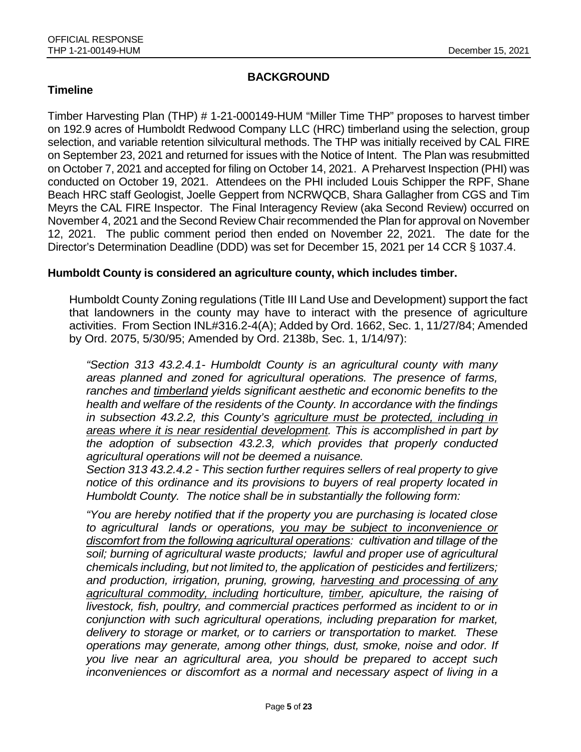## **BACKGROUND**

## **Timeline**

Timber Harvesting Plan (THP) # 1-21-000149-HUM "Miller Time THP" proposes to harvest timber on 192.9 acres of Humboldt Redwood Company LLC (HRC) timberland using the selection, group selection, and variable retention silvicultural methods. The THP was initially received by CAL FIRE on September 23, 2021 and returned for issues with the Notice of Intent. The Plan was resubmitted on October 7, 2021 and accepted for filing on October 14, 2021. A Preharvest Inspection (PHI) was conducted on October 19, 2021. Attendees on the PHI included Louis Schipper the RPF, Shane Beach HRC staff Geologist, Joelle Geppert from NCRWQCB, Shara Gallagher from CGS and Tim Meyrs the CAL FIRE Inspector. The Final Interagency Review (aka Second Review) occurred on November 4, 2021 and the Second Review Chair recommended the Plan for approval on November 12, 2021. The public comment period then ended on November 22, 2021. The date for the Director's Determination Deadline (DDD) was set for December 15, 2021 per 14 CCR § 1037.4.

#### **Humboldt County is considered an agriculture county, which includes timber.**

Humboldt County Zoning regulations (Title III Land Use and Development) support the fact that landowners in the county may have to interact with the presence of agriculture activities. From Section INL#316.2-4(A); Added by Ord. 1662, Sec. 1, 11/27/84; Amended by Ord. 2075, 5/30/95; Amended by Ord. 2138b, Sec. 1, 1/14/97):

*"Section 313 43.2.4.1- Humboldt County is an agricultural county with many areas planned and zoned for agricultural operations. The presence of farms, ranches and timberland yields significant aesthetic and economic benefits to the health and welfare of the residents of the County. In accordance with the findings in subsection 43.2.2, this County's agriculture must be protected, including in areas where it is near residential development. This is accomplished in part by the adoption of subsection 43.2.3, which provides that properly conducted agricultural operations will not be deemed a nuisance.* 

*Section 313 43.2.4.2 - This section further requires sellers of real property to give notice of this ordinance and its provisions to buyers of real property located in Humboldt County. The notice shall be in substantially the following form:* 

*"You are hereby notified that if the property you are purchasing is located close to agricultural lands or operations, you may be subject to inconvenience or discomfort from the following agricultural operations: cultivation and tillage of the soil; burning of agricultural waste products; lawful and proper use of agricultural chemicals including, but not limited to, the application of pesticides and fertilizers; and production, irrigation, pruning, growing, harvesting and processing of any agricultural commodity, including horticulture, timber, apiculture, the raising of*  livestock, fish, poultry, and commercial practices performed as incident to or in *conjunction with such agricultural operations, including preparation for market, delivery to storage or market, or to carriers or transportation to market. These operations may generate, among other things, dust, smoke, noise and odor. If you live near an agricultural area, you should be prepared to accept such inconveniences or discomfort as a normal and necessary aspect of living in a*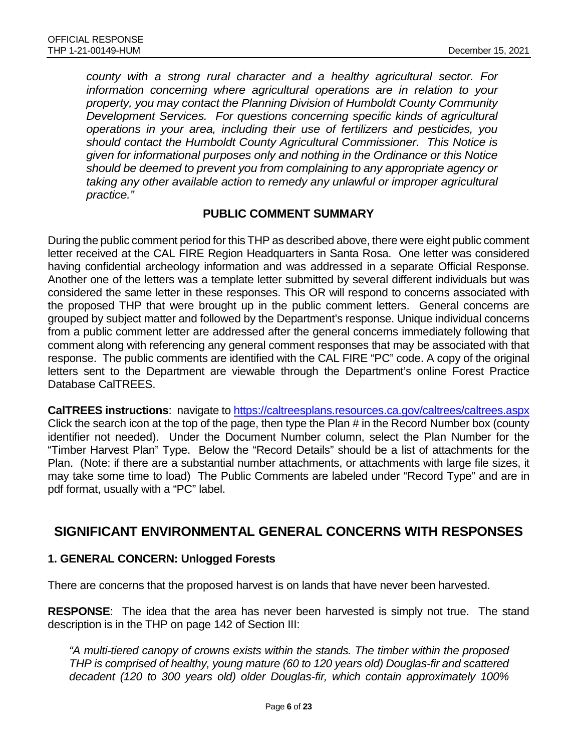*county with a strong rural character and a healthy agricultural sector. For information concerning where agricultural operations are in relation to your property, you may contact the Planning Division of Humboldt County Community Development Services. For questions concerning specific kinds of agricultural operations in your area, including their use of fertilizers and pesticides, you should contact the Humboldt County Agricultural Commissioner. This Notice is given for informational purposes only and nothing in the Ordinance or this Notice should be deemed to prevent you from complaining to any appropriate agency or taking any other available action to remedy any unlawful or improper agricultural practice."*

#### **PUBLIC COMMENT SUMMARY**

During the public comment period for this THP as described above, there were eight public comment letter received at the CAL FIRE Region Headquarters in Santa Rosa. One letter was considered having confidential archeology information and was addressed in a separate Official Response. Another one of the letters was a template letter submitted by several different individuals but was considered the same letter in these responses. This OR will respond to concerns associated with the proposed THP that were brought up in the public comment letters. General concerns are grouped by subject matter and followed by the Department's response. Unique individual concerns from a public comment letter are addressed after the general concerns immediately following that comment along with referencing any general comment responses that may be associated with that response. The public comments are identified with the CAL FIRE "PC" code. A copy of the original letters sent to the Department are viewable through the Department's online Forest Practice Database CalTREES.

**CalTREES instructions**: navigate to<https://caltreesplans.resources.ca.gov/caltrees/caltrees.aspx> Click the search icon at the top of the page, then type the Plan # in the Record Number box (county identifier not needed). Under the Document Number column, select the Plan Number for the "Timber Harvest Plan" Type. Below the "Record Details" should be a list of attachments for the Plan. (Note: if there are a substantial number attachments, or attachments with large file sizes, it may take some time to load) The Public Comments are labeled under "Record Type" and are in pdf format, usually with a "PC" label.

## **SIGNIFICANT ENVIRONMENTAL GENERAL CONCERNS WITH RESPONSES**

#### **1. GENERAL CONCERN: Unlogged Forests**

There are concerns that the proposed harvest is on lands that have never been harvested.

**RESPONSE**: The idea that the area has never been harvested is simply not true. The stand description is in the THP on page 142 of Section III:

*"A multi-tiered canopy of crowns exists within the stands. The timber within the proposed THP is comprised of healthy, young mature (60 to 120 years old) Douglas-fir and scattered decadent (120 to 300 years old) older Douglas-fir, which contain approximately 100%*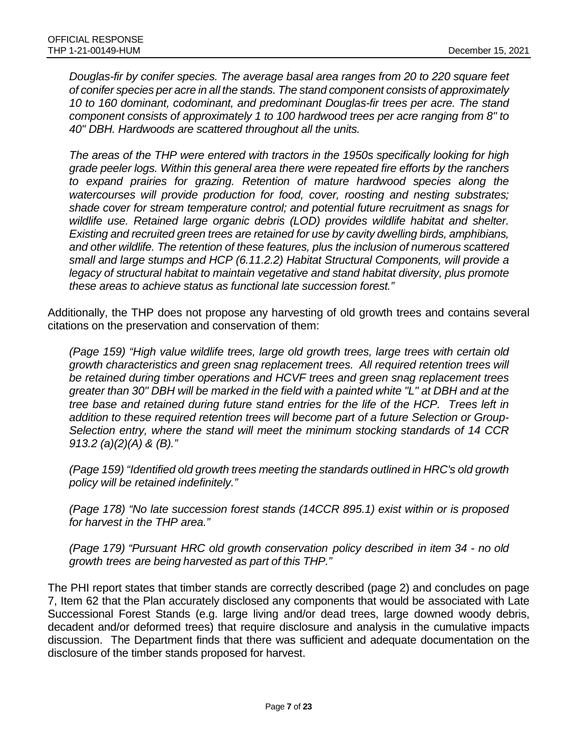*Douglas-fir by conifer species. The average basal area ranges from 20 to 220 square feet of conifer species per acre in all the stands. The stand component consists of approximately 10 to 160 dominant, codominant, and predominant Douglas-fir trees per acre. The stand component consists of approximately 1 to 100 hardwood trees per acre ranging from 8" to 40" DBH. Hardwoods are scattered throughout all the units.*

*The areas of the THP were entered with tractors in the 1950s specifically looking for high grade peeler logs. Within this general area there were repeated fire efforts by the ranchers to expand prairies for grazing. Retention of mature hardwood species along the watercourses will provide production for food, cover, roosting and nesting substrates; shade cover for stream temperature control; and potential future recruitment as snags for wildlife use. Retained large organic debris (LOD) provides wildlife habitat and shelter. Existing and recruited green trees are retained for use by cavity dwelling birds, amphibians, and other wildlife. The retention of these features, plus the inclusion of numerous scattered small and large stumps and HCP (6.11.2.2) Habitat Structural Components, will provide a legacy of structural habitat to maintain vegetative and stand habitat diversity, plus promote these areas to achieve status as functional late succession forest."*

Additionally, the THP does not propose any harvesting of old growth trees and contains several citations on the preservation and conservation of them:

*(Page 159) "High value wildlife trees, large old growth trees, large trees with certain old growth characteristics and green snag replacement trees. All required retention trees will be retained during timber operations and HCVF trees and green snag replacement trees greater than 30" DBH will be marked in the field with a painted white "L" at DBH and at the tree base and retained during future stand entries for the life of the HCP. Trees left in addition to these required retention trees will become part of a future Selection or Group-Selection entry, where the stand will meet the minimum stocking standards of 14 CCR 913.2 (a)(2)(A) & (B)."*

*(Page 159) "Identified old growth trees meeting the standards outlined in HRC's old growth policy will be retained indefinitely."*

*(Page 178) "No late succession forest stands (14CCR 895.1) exist within or is proposed for harvest in the THP area."*

*(Page 179) "Pursuant HRC old growth conservation policy described in item 34 - no old growth trees are being harvested as part of this THP."*

The PHI report states that timber stands are correctly described (page 2) and concludes on page 7, Item 62 that the Plan accurately disclosed any components that would be associated with Late Successional Forest Stands (e.g. large living and/or dead trees, large downed woody debris, decadent and/or deformed trees) that require disclosure and analysis in the cumulative impacts discussion. The Department finds that there was sufficient and adequate documentation on the disclosure of the timber stands proposed for harvest.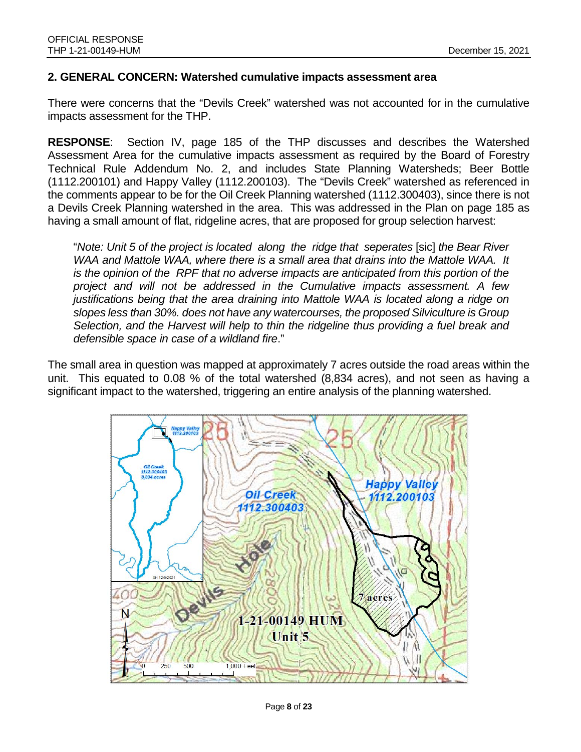#### **2. GENERAL CONCERN: Watershed cumulative impacts assessment area**

There were concerns that the "Devils Creek" watershed was not accounted for in the cumulative impacts assessment for the THP.

**RESPONSE**: Section IV, page 185 of the THP discusses and describes the Watershed Assessment Area for the cumulative impacts assessment as required by the Board of Forestry Technical Rule Addendum No. 2, and includes State Planning Watersheds; Beer Bottle (1112.200101) and Happy Valley (1112.200103). The "Devils Creek" watershed as referenced in the comments appear to be for the Oil Creek Planning watershed (1112.300403), since there is not a Devils Creek Planning watershed in the area. This was addressed in the Plan on page 185 as having a small amount of flat, ridgeline acres, that are proposed for group selection harvest:

"*Note: Unit 5 of the project is located along the ridge that seperates* [sic] *the Bear River WAA and Mattole WAA, where there is a small area that drains into the Mattole WAA. It is the opinion of the RPF that no adverse impacts are anticipated from this portion of the project and will not be addressed in the Cumulative impacts assessment. A few justifications being that the area draining into Mattole WAA is located along a ridge on slopes less than 30%. does not have any watercourses, the proposed Silviculture is Group Selection, and the Harvest will help to thin the ridgeline thus providing a fuel break and defensible space in case of a wildland fire*."

The small area in question was mapped at approximately 7 acres outside the road areas within the unit. This equated to 0.08 % of the total watershed (8,834 acres), and not seen as having a significant impact to the watershed, triggering an entire analysis of the planning watershed.

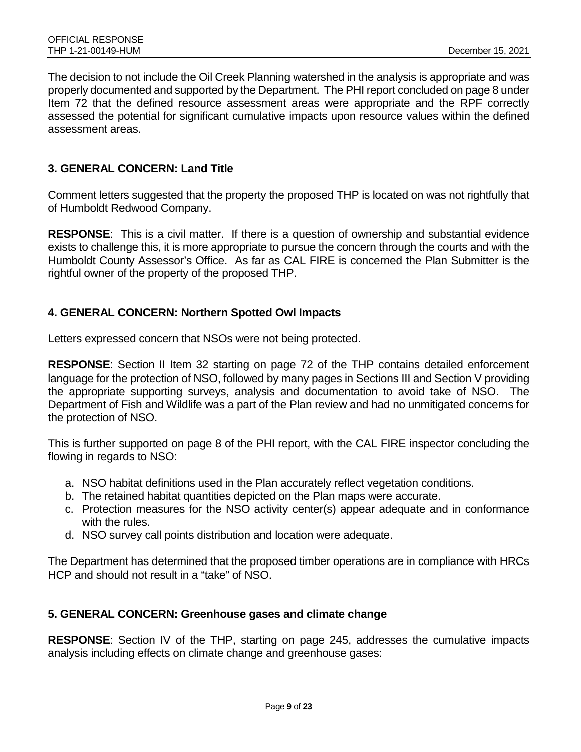The decision to not include the Oil Creek Planning watershed in the analysis is appropriate and was properly documented and supported by the Department. The PHI report concluded on page 8 under Item 72 that the defined resource assessment areas were appropriate and the RPF correctly assessed the potential for significant cumulative impacts upon resource values within the defined assessment areas.

#### **3. GENERAL CONCERN: Land Title**

Comment letters suggested that the property the proposed THP is located on was not rightfully that of Humboldt Redwood Company.

**RESPONSE**: This is a civil matter. If there is a question of ownership and substantial evidence exists to challenge this, it is more appropriate to pursue the concern through the courts and with the Humboldt County Assessor's Office. As far as CAL FIRE is concerned the Plan Submitter is the rightful owner of the property of the proposed THP.

#### **4. GENERAL CONCERN: Northern Spotted Owl Impacts**

Letters expressed concern that NSOs were not being protected.

**RESPONSE**: Section II Item 32 starting on page 72 of the THP contains detailed enforcement language for the protection of NSO, followed by many pages in Sections III and Section V providing the appropriate supporting surveys, analysis and documentation to avoid take of NSO. The Department of Fish and Wildlife was a part of the Plan review and had no unmitigated concerns for the protection of NSO.

This is further supported on page 8 of the PHI report, with the CAL FIRE inspector concluding the flowing in regards to NSO:

- a. NSO habitat definitions used in the Plan accurately reflect vegetation conditions.
- b. The retained habitat quantities depicted on the Plan maps were accurate.
- c. Protection measures for the NSO activity center(s) appear adequate and in conformance with the rules.
- d. NSO survey call points distribution and location were adequate.

The Department has determined that the proposed timber operations are in compliance with HRCs HCP and should not result in a "take" of NSO.

#### **5. GENERAL CONCERN: Greenhouse gases and climate change**

**RESPONSE**: Section IV of the THP, starting on page 245, addresses the cumulative impacts analysis including effects on climate change and greenhouse gases: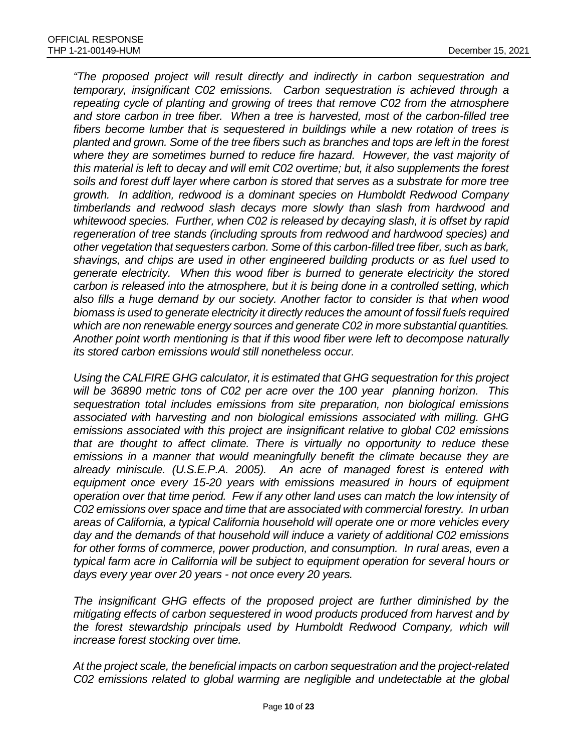*"The proposed project will result directly and indirectly in carbon sequestration and temporary, insignificant C02 emissions. Carbon sequestration is achieved through a repeating cycle of planting and growing of trees that remove C02 from the atmosphere and store carbon in tree fiber. When a tree is harvested, most of the carbon-filled tree fibers become lumber that is sequestered in buildings while a new rotation of trees is planted and grown. Some of the tree fibers such as branches and tops are left in the forest where they are sometimes burned to reduce fire hazard. However, the vast majority of this material is left to decay and will emit C02 overtime; but, it also supplements the forest soils and forest duff layer where carbon is stored that serves as a substrate for more tree growth. In addition, redwood is a dominant species on Humboldt Redwood Company timberlands and redwood slash decays more slowly than slash from hardwood and whitewood species. Further, when C02 is released by decaying slash, it is offset by rapid regeneration of tree stands (including sprouts from redwood and hardwood species) and other vegetation that sequesters carbon. Some of this carbon-filled tree fiber, such as bark, shavings, and chips are used in other engineered building products or as fuel used to generate electricity. When this wood fiber is burned to generate electricity the stored carbon is released into the atmosphere, but it is being done in a controlled setting, which also fills a huge demand by our society. Another factor to consider is that when wood biomass is used to generate electricity it directly reduces the amount of fossil fuels required which are non renewable energy sources and generate C02 in more substantial quantities. Another point worth mentioning is that if this wood fiber were left to decompose naturally its stored carbon emissions would still nonetheless occur.*

*Using the CALFIRE GHG calculator, it is estimated that GHG sequestration for this project will be 36890 metric tons of C02 per acre over the 100 year planning horizon. This sequestration total includes emissions from site preparation, non biological emissions associated with harvesting and non biological emissions associated with milling. GHG emissions associated with this project are insignificant relative to global C02 emissions that are thought to affect climate. There is virtually no opportunity to reduce these emissions in a manner that would meaningfully benefit the climate because they are already miniscule. (U.S.E.P.A. 2005). An acre of managed forest is entered with equipment once every 15-20 years with emissions measured in hours of equipment operation over that time period. Few if any other land uses can match the low intensity of C02 emissions over space and time that are associated with commercial forestry. In urban areas of California, a typical California household will operate one or more vehicles every day and the demands of that household will induce a variety of additional C02 emissions*  for other forms of commerce, power production, and consumption. In rural areas, even a *typical farm acre in California will be subject to equipment operation for several hours or days every year over 20 years - not once every 20 years.*

*The insignificant GHG effects of the proposed project are further diminished by the mitigating effects of carbon sequestered in wood products produced from harvest and by the forest stewardship principals used by Humboldt Redwood Company, which will increase forest stocking over time.*

*At the project scale, the beneficial impacts on carbon sequestration and the project-related C02 emissions related to global warming are negligible and undetectable at the global*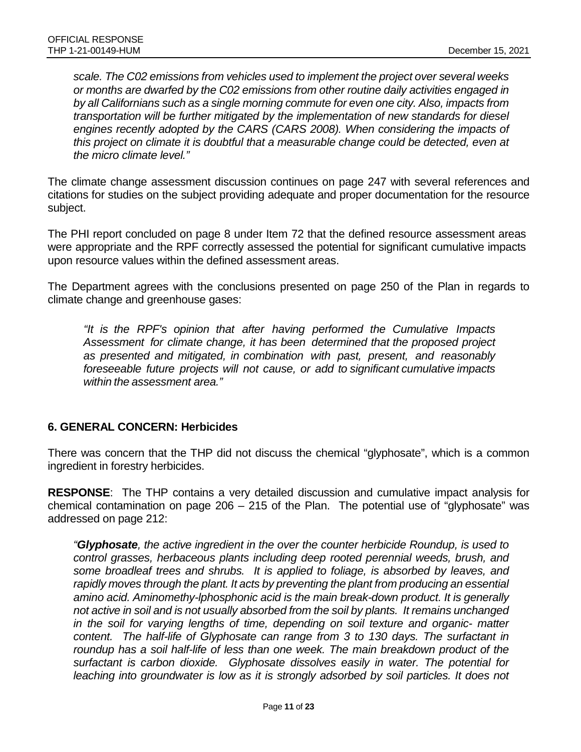*scale. The C02 emissions from vehicles used to implement the project over several weeks or months are dwarfed by the C02 emissions from other routine daily activities engaged in by all Californians such as a single morning commute for even one city. Also, impacts from transportation will be further mitigated by the implementation of new standards for diesel engines recently adopted by the CARS (CARS 2008). When considering the impacts of this project on climate it is doubtful that a measurable change could be detected, even at the micro climate level."*

The climate change assessment discussion continues on page 247 with several references and citations for studies on the subject providing adequate and proper documentation for the resource subject.

The PHI report concluded on page 8 under Item 72 that the defined resource assessment areas were appropriate and the RPF correctly assessed the potential for significant cumulative impacts upon resource values within the defined assessment areas.

The Department agrees with the conclusions presented on page 250 of the Plan in regards to climate change and greenhouse gases:

*"It is the RPF's opinion that after having performed the Cumulative Impacts Assessment for climate change, it has been determined that the proposed project as presented and mitigated, in combination with past, present, and reasonably foreseeable future projects will not cause, or add to significant cumulative impacts within the assessment area."*

#### **6. GENERAL CONCERN: Herbicides**

There was concern that the THP did not discuss the chemical "glyphosate", which is a common ingredient in forestry herbicides.

**RESPONSE**: The THP contains a very detailed discussion and cumulative impact analysis for chemical contamination on page 206 – 215 of the Plan. The potential use of "glyphosate" was addressed on page 212:

*"Glyphosate, the active ingredient in the over the counter herbicide Roundup, is used to control grasses, herbaceous plants including deep rooted perennial weeds, brush, and some broadleaf trees and shrubs. It is applied to foliage, is absorbed by leaves, and rapidly moves through the plant. It acts by preventing the plant from producing an essential amino acid. Aminomethy-lphosphonic acid is the main break-down product. It is generally not active in soil and is not usually absorbed from the soil by plants. It remains unchanged in the soil for varying lengths of time, depending on soil texture and organic- matter content. The half-life of Glyphosate can range from 3 to 130 days. The surfactant in roundup has a soil half-life of less than one week. The main breakdown product of the surfactant is carbon dioxide. Glyphosate dissolves easily in water. The potential for*  leaching into groundwater is low as it is strongly adsorbed by soil particles. It does not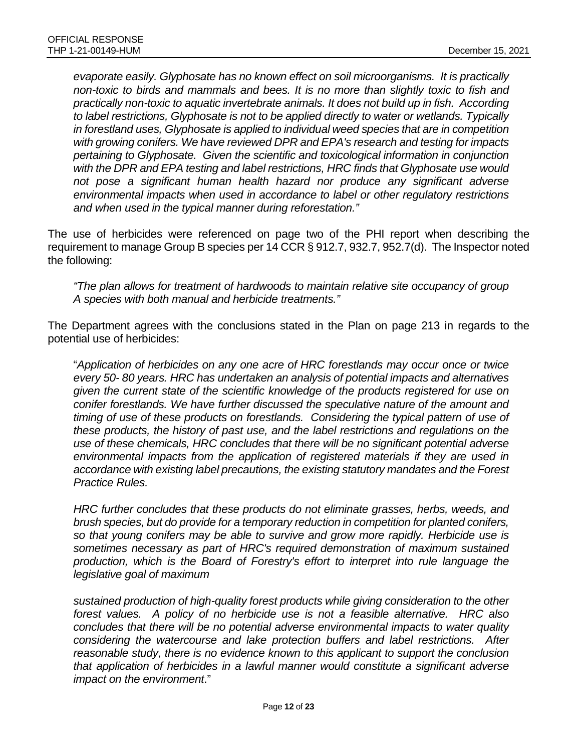*evaporate easily. Glyphosate has no known effect on soil microorganisms. It is practically non-toxic to birds and mammals and bees. It is no more than slightly toxic to fish and practically non-toxic to aquatic invertebrate animals. It does not build up in fish. According to label restrictions, Glyphosate is not to be applied directly to water or wetlands. Typically in forestland uses, Glyphosate is applied to individual weed species that are in competition with growing conifers. We have reviewed DPR and EPA's research and testing for impacts pertaining to Glyphosate. Given the scientific and toxicological information in conjunction with the DPR and EPA testing and label restrictions, HRC finds that Glyphosate use would not pose a significant human health hazard nor produce any significant adverse environmental impacts when used in accordance to label or other regulatory restrictions and when used in the typical manner during reforestation."*

The use of herbicides were referenced on page two of the PHI report when describing the requirement to manage Group B species per 14 CCR § 912.7, 932.7, 952.7(d). The Inspector noted the following:

*"The plan allows for treatment of hardwoods to maintain relative site occupancy of group A species with both manual and herbicide treatments."*

The Department agrees with the conclusions stated in the Plan on page 213 in regards to the potential use of herbicides:

"*Application of herbicides on any one acre of HRC forestlands may occur once or twice every 50- 80 years. HRC has undertaken an analysis of potential impacts and alternatives given the current state of the scientific knowledge of the products registered for use on conifer forestlands. We have further discussed the speculative nature of the amount and timing of use of these products on forestlands. Considering the typical pattern of use of these products, the history of past use, and the label restrictions and regulations on the use of these chemicals, HRC concludes that there will be no significant potential adverse environmental impacts from the application of registered materials if they are used in accordance with existing label precautions, the existing statutory mandates and the Forest Practice Rules.*

*HRC further concludes that these products do not eliminate grasses, herbs, weeds, and brush species, but do provide for a temporary reduction in competition for planted conifers, so that young conifers may be able to survive and grow more rapidly. Herbicide use is sometimes necessary as part of HRC's required demonstration of maximum sustained production, which is the Board of Forestry's effort to interpret into rule language the legislative goal of maximum*

*sustained production of high-quality forest products while giving consideration to the other forest values. A policy of no herbicide use is not a feasible alternative. HRC also concludes that there will be no potential adverse environmental impacts to water quality considering the watercourse and lake protection buffers and label restrictions. After reasonable study, there is no evidence known to this applicant to support the conclusion that application of herbicides in a lawful manner would constitute a significant adverse impact on the environment*."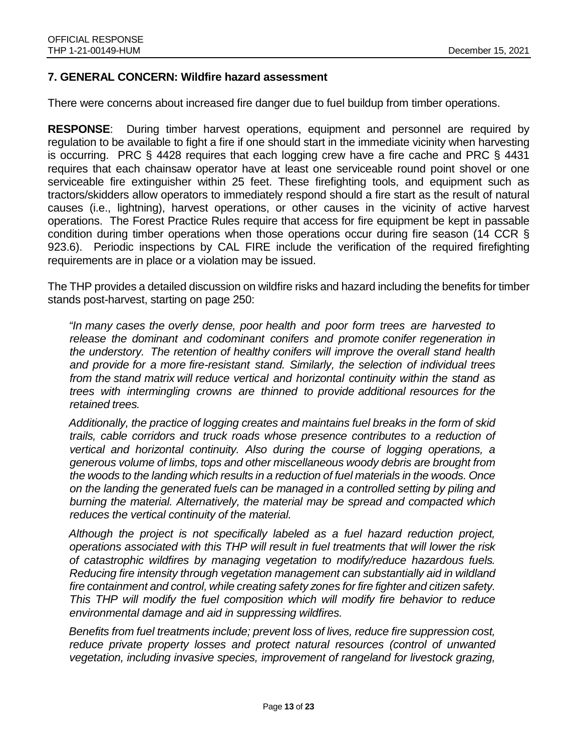#### **7. GENERAL CONCERN: Wildfire hazard assessment**

There were concerns about increased fire danger due to fuel buildup from timber operations.

**RESPONSE**: During timber harvest operations, equipment and personnel are required by regulation to be available to fight a fire if one should start in the immediate vicinity when harvesting is occurring. PRC § 4428 requires that each logging crew have a fire cache and PRC § 4431 requires that each chainsaw operator have at least one serviceable round point shovel or one serviceable fire extinguisher within 25 feet. These firefighting tools, and equipment such as tractors/skidders allow operators to immediately respond should a fire start as the result of natural causes (i.e., lightning), harvest operations, or other causes in the vicinity of active harvest operations. The Forest Practice Rules require that access for fire equipment be kept in passable condition during timber operations when those operations occur during fire season (14 CCR § 923.6). Periodic inspections by CAL FIRE include the verification of the required firefighting requirements are in place or a violation may be issued.

The THP provides a detailed discussion on wildfire risks and hazard including the benefits for timber stands post-harvest, starting on page 250:

*"In many cases the overly dense, poor health and poor form trees are harvested to release the dominant and codominant conifers and promote conifer regeneration in the understory. The retention of healthy conifers will improve the overall stand health and provide for a more fire-resistant stand. Similarly, the selection of individual trees from the stand matrix will reduce vertical and horizontal continuity within the stand as trees with intermingling crowns are thinned to provide additional resources for the retained trees.*

*Additionally, the practice of logging creates and maintains fuel breaks in the form of skid trails, cable corridors and truck roads whose presence contributes to a reduction of vertical and horizontal continuity. Also during the course of logging operations, a generous volume of limbs, tops and other miscellaneous woody debris are brought from the woods to the landing which results in a reduction of fuel materials in the woods. Once on the landing the generated fuels can be managed in a controlled setting by piling and burning the material. Alternatively, the material may be spread and compacted which reduces the vertical continuity of the material.*

*Although the project is not specifically labeled as a fuel hazard reduction project, operations associated with this THP will result in fuel treatments that will lower the risk of catastrophic wildfires by managing vegetation to modify/reduce hazardous fuels. Reducing fire intensity through vegetation management can substantially aid in wildland fire containment and control, while creating safety zones for fire fighter and citizen safety. This THP will modify the fuel composition which will modify fire behavior to reduce environmental damage and aid in suppressing wildfires.*

*Benefits from fuel treatments include; prevent loss of lives, reduce fire suppression cost, reduce private property losses and protect natural resources (control of unwanted vegetation, including invasive species, improvement of rangeland for livestock grazing,*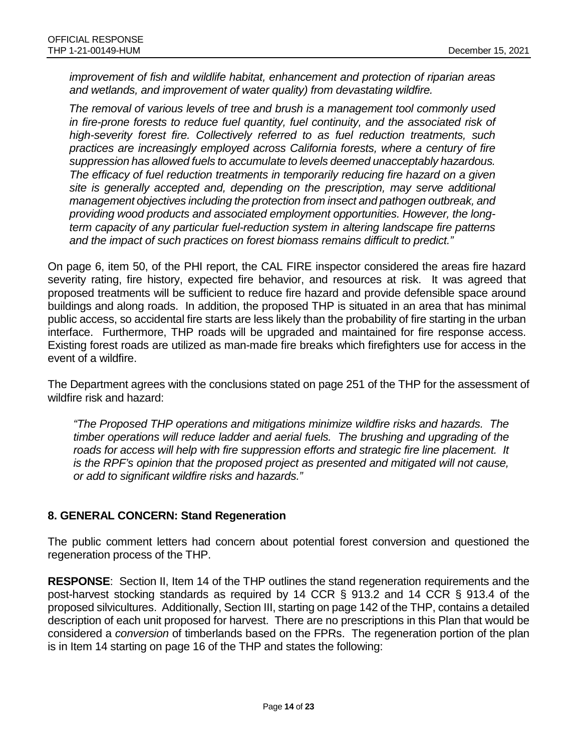*improvement of fish and wildlife habitat, enhancement and protection of riparian areas and wetlands, and improvement of water quality) from devastating wildfire.*

*The removal of various levels of tree and brush is a management tool commonly used in fire-prone forests to reduce fuel quantity, fuel continuity, and the associated risk of high-severity forest fire. Collectively referred to as fuel reduction treatments, such practices are increasingly employed across California forests, where a century of fire suppression has allowed fuels to accumulate to levels deemed unacceptably hazardous. The efficacy of fuel reduction treatments in temporarily reducing fire hazard on a given site is generally accepted and, depending on the prescription, may serve additional management objectives including the protection from insect and pathogen outbreak, and providing wood products and associated employment opportunities. However, the longterm capacity of any particular fuel-reduction system in altering landscape fire patterns and the impact of such practices on forest biomass remains difficult to predict."*

On page 6, item 50, of the PHI report, the CAL FIRE inspector considered the areas fire hazard severity rating, fire history, expected fire behavior, and resources at risk. It was agreed that proposed treatments will be sufficient to reduce fire hazard and provide defensible space around buildings and along roads. In addition, the proposed THP is situated in an area that has minimal public access, so accidental fire starts are less likely than the probability of fire starting in the urban interface. Furthermore, THP roads will be upgraded and maintained for fire response access. Existing forest roads are utilized as man-made fire breaks which firefighters use for access in the event of a wildfire.

The Department agrees with the conclusions stated on page 251 of the THP for the assessment of wildfire risk and hazard:

*"The Proposed THP operations and mitigations minimize wildfire risks and hazards. The timber operations will reduce ladder and aerial fuels. The brushing and upgrading of the roads for access will help with fire suppression efforts and strategic fire line placement. It is the RPF's opinion that the proposed project as presented and mitigated will not cause, or add to significant wildfire risks and hazards."*

## **8. GENERAL CONCERN: Stand Regeneration**

The public comment letters had concern about potential forest conversion and questioned the regeneration process of the THP.

**RESPONSE**: Section II, Item 14 of the THP outlines the stand regeneration requirements and the post-harvest stocking standards as required by 14 CCR § 913.2 and 14 CCR § 913.4 of the proposed silvicultures. Additionally, Section III, starting on page 142 of the THP, contains a detailed description of each unit proposed for harvest. There are no prescriptions in this Plan that would be considered a *conversion* of timberlands based on the FPRs. The regeneration portion of the plan is in Item 14 starting on page 16 of the THP and states the following: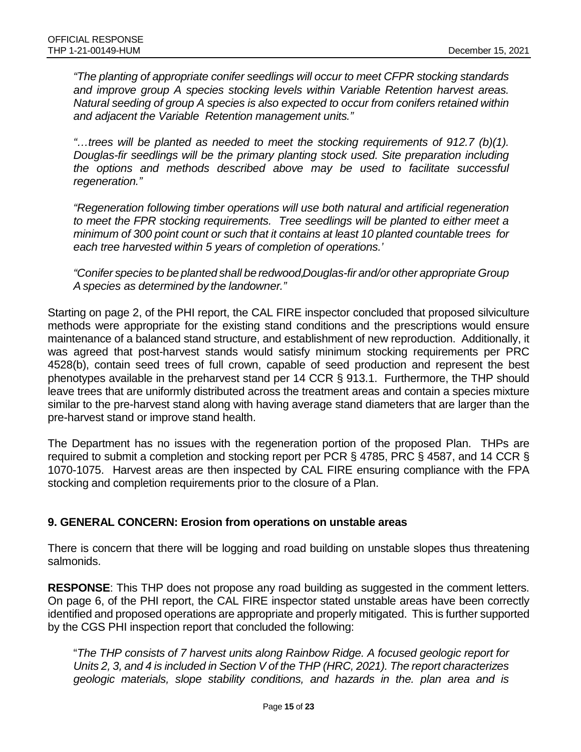*"The planting of appropriate conifer seedlings will occur to meet CFPR stocking standards and improve group A species stocking levels within Variable Retention harvest areas. Natural seeding of group A species is also expected to occur from conifers retained within and adjacent the Variable Retention management units."*

*"…trees will be planted as needed to meet the stocking requirements of 912.7 (b)(1). Douglas-fir seedlings will be the primary planting stock used. Site preparation including the options and methods described above may be used to facilitate successful regeneration."*

*"Regeneration following timber operations will use both natural and artificial regeneration to meet the FPR stocking requirements. Tree seedlings will be planted to either meet a minimum of 300 point count or such that it contains at least 10 planted countable trees for each tree harvested within 5 years of completion of operations.'*

*"Conifer species to be planted shall be redwood, Douglas-fir and/or other appropriate Group A species as determined by the landowner."*

Starting on page 2, of the PHI report, the CAL FIRE inspector concluded that proposed silviculture methods were appropriate for the existing stand conditions and the prescriptions would ensure maintenance of a balanced stand structure, and establishment of new reproduction. Additionally, it was agreed that post-harvest stands would satisfy minimum stocking requirements per PRC 4528(b), contain seed trees of full crown, capable of seed production and represent the best phenotypes available in the preharvest stand per 14 CCR § 913.1. Furthermore, the THP should leave trees that are uniformly distributed across the treatment areas and contain a species mixture similar to the pre-harvest stand along with having average stand diameters that are larger than the pre-harvest stand or improve stand health.

The Department has no issues with the regeneration portion of the proposed Plan. THPs are required to submit a completion and stocking report per PCR § 4785, PRC § 4587, and 14 CCR § 1070-1075. Harvest areas are then inspected by CAL FIRE ensuring compliance with the FPA stocking and completion requirements prior to the closure of a Plan.

#### **9. GENERAL CONCERN: Erosion from operations on unstable areas**

There is concern that there will be logging and road building on unstable slopes thus threatening salmonids.

**RESPONSE**: This THP does not propose any road building as suggested in the comment letters. On page 6, of the PHI report, the CAL FIRE inspector stated unstable areas have been correctly identified and proposed operations are appropriate and properly mitigated. This is further supported by the CGS PHI inspection report that concluded the following:

"*The THP consists of 7 harvest units along Rainbow Ridge. A focused geologic report for Units 2, 3, and 4 is included in Section V of the THP (HRC, 2021). The report characterizes geologic materials, slope stability conditions, and hazards in the. plan area and is*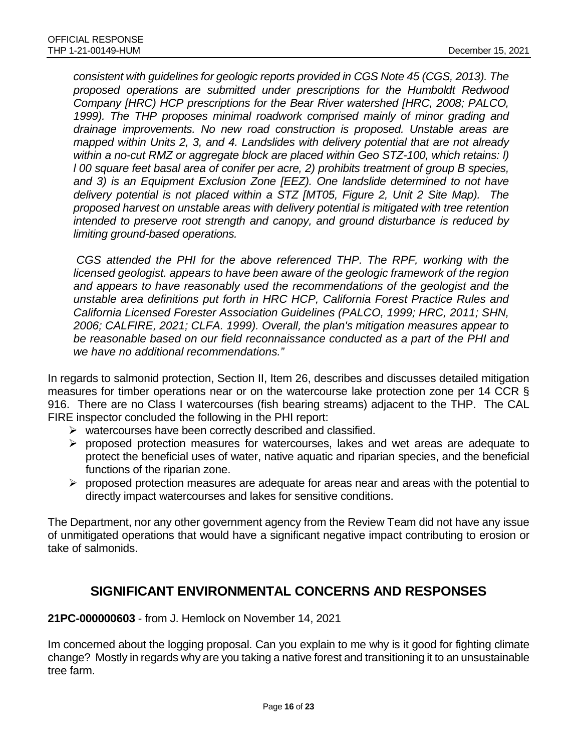*consistent with guidelines for geologic reports provided in CGS Note 45 (CGS, 2013). The proposed operations are submitted under prescriptions for the Humboldt Redwood Company [HRC) HCP prescriptions for the Bear River watershed [HRC, 2008; PALCO, 1999). The THP proposes minimal roadwork comprised mainly of minor grading and drainage improvements. No new road construction is proposed. Unstable areas are mapped within Units 2, 3, and 4. Landslides with delivery potential that are not already within a no-cut RMZ or aggregate block are placed within Geo STZ-100, which retains: l) l 00 square feet basal area of conifer per acre, 2) prohibits treatment of group B species, and 3) is an Equipment Exclusion Zone [EEZ). One landslide determined to not have delivery potential is not placed within a STZ [MT05, Figure 2, Unit 2 Site Map). The proposed harvest on unstable areas with delivery potential is mitigated with tree retention intended to preserve root strength and canopy, and ground disturbance is reduced by limiting ground-based operations.*

*CGS attended the PHI for the above referenced THP. The RPF, working with the licensed geologist. appears to have been aware of the geologic framework of the region and appears to have reasonably used the recommendations of the geologist and the unstable area definitions put forth in HRC HCP, California Forest Practice Rules and California Licensed Forester Association Guidelines (PALCO, 1999; HRC, 2011; SHN, 2006; CALFIRE, 2021; CLFA. 1999). Overall, the plan's mitigation measures appear to be reasonable based on our field reconnaissance conducted as a part of the PHI and we have no additional recommendations."*

In regards to salmonid protection, Section II, Item 26, describes and discusses detailed mitigation measures for timber operations near or on the watercourse lake protection zone per 14 CCR § 916. There are no Class I watercourses (fish bearing streams) adjacent to the THP. The CAL FIRE inspector concluded the following in the PHI report:

- $\triangleright$  watercourses have been correctly described and classified.
- $\triangleright$  proposed protection measures for watercourses, lakes and wet areas are adequate to protect the beneficial uses of water, native aquatic and riparian species, and the beneficial functions of the riparian zone.
- $\triangleright$  proposed protection measures are adequate for areas near and areas with the potential to directly impact watercourses and lakes for sensitive conditions.

The Department, nor any other government agency from the Review Team did not have any issue of unmitigated operations that would have a significant negative impact contributing to erosion or take of salmonids.

# **SIGNIFICANT ENVIRONMENTAL CONCERNS AND RESPONSES**

**21PC-000000603** - from J. Hemlock on November 14, 2021

Im concerned about the logging proposal. Can you explain to me why is it good for fighting climate change? Mostly in regards why are you taking a native forest and transitioning it to an unsustainable tree farm.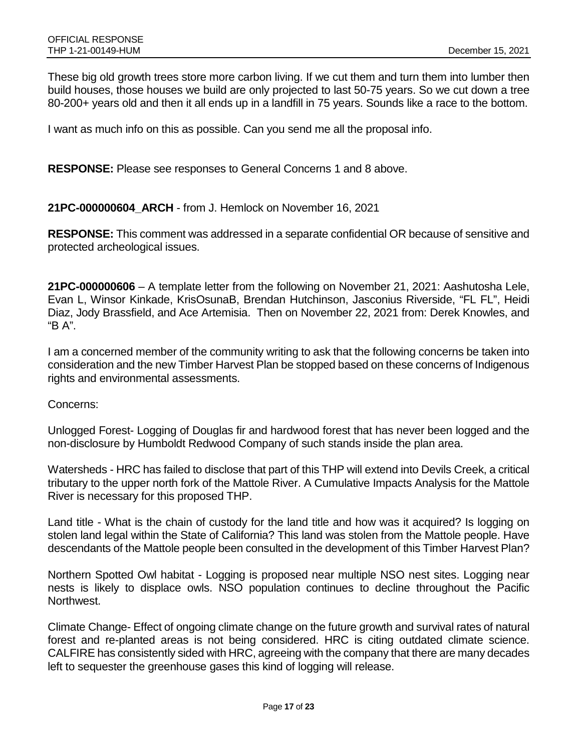These big old growth trees store more carbon living. If we cut them and turn them into lumber then build houses, those houses we build are only projected to last 50-75 years. So we cut down a tree 80-200+ years old and then it all ends up in a landfill in 75 years. Sounds like a race to the bottom.

I want as much info on this as possible. Can you send me all the proposal info.

**RESPONSE:** Please see responses to General Concerns 1 and 8 above.

**21PC-000000604\_ARCH** - from J. Hemlock on November 16, 2021

**RESPONSE:** This comment was addressed in a separate confidential OR because of sensitive and protected archeological issues.

**21PC-000000606** – A template letter from the following on November 21, 2021: Aashutosha Lele, Evan L, Winsor Kinkade, KrisOsunaB, Brendan Hutchinson, Jasconius Riverside, "FL FL", Heidi Diaz, Jody Brassfield, and Ace Artemisia. Then on November 22, 2021 from: Derek Knowles, and "B A".

I am a concerned member of the community writing to ask that the following concerns be taken into consideration and the new Timber Harvest Plan be stopped based on these concerns of Indigenous rights and environmental assessments.

Concerns:

Unlogged Forest- Logging of Douglas fir and hardwood forest that has never been logged and the non-disclosure by Humboldt Redwood Company of such stands inside the plan area.

Watersheds - HRC has failed to disclose that part of this THP will extend into Devils Creek, a critical tributary to the upper north fork of the Mattole River. A Cumulative Impacts Analysis for the Mattole River is necessary for this proposed THP.

Land title - What is the chain of custody for the land title and how was it acquired? Is logging on stolen land legal within the State of California? This land was stolen from the Mattole people. Have descendants of the Mattole people been consulted in the development of this Timber Harvest Plan?

Northern Spotted Owl habitat - Logging is proposed near multiple NSO nest sites. Logging near nests is likely to displace owls. NSO population continues to decline throughout the Pacific Northwest.

Climate Change- Effect of ongoing climate change on the future growth and survival rates of natural forest and re-planted areas is not being considered. HRC is citing outdated climate science. CALFIRE has consistently sided with HRC, agreeing with the company that there are many decades left to sequester the greenhouse gases this kind of logging will release.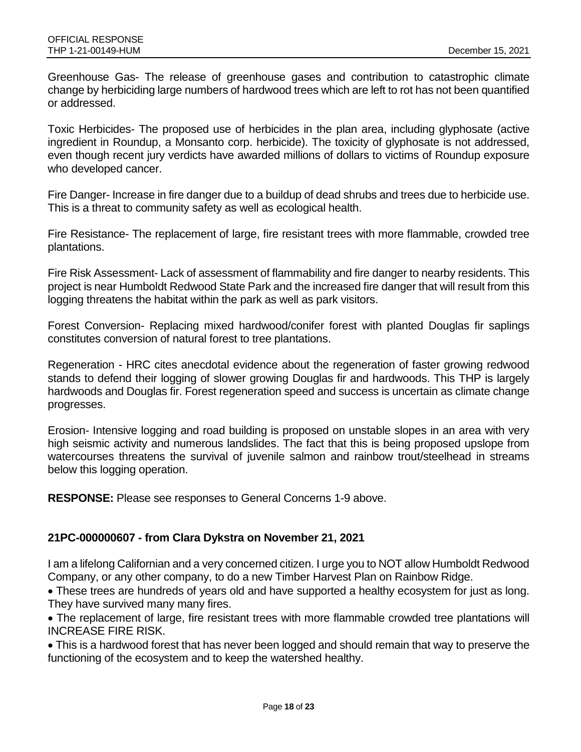Greenhouse Gas- The release of greenhouse gases and contribution to catastrophic climate change by herbiciding large numbers of hardwood trees which are left to rot has not been quantified or addressed.

Toxic Herbicides- The proposed use of herbicides in the plan area, including glyphosate (active ingredient in Roundup, a Monsanto corp. herbicide). The toxicity of glyphosate is not addressed, even though recent jury verdicts have awarded millions of dollars to victims of Roundup exposure who developed cancer.

Fire Danger- Increase in fire danger due to a buildup of dead shrubs and trees due to herbicide use. This is a threat to community safety as well as ecological health.

Fire Resistance- The replacement of large, fire resistant trees with more flammable, crowded tree plantations.

Fire Risk Assessment- Lack of assessment of flammability and fire danger to nearby residents. This project is near Humboldt Redwood State Park and the increased fire danger that will result from this logging threatens the habitat within the park as well as park visitors.

Forest Conversion- Replacing mixed hardwood/conifer forest with planted Douglas fir saplings constitutes conversion of natural forest to tree plantations.

Regeneration - HRC cites anecdotal evidence about the regeneration of faster growing redwood stands to defend their logging of slower growing Douglas fir and hardwoods. This THP is largely hardwoods and Douglas fir. Forest regeneration speed and success is uncertain as climate change progresses.

Erosion- Intensive logging and road building is proposed on unstable slopes in an area with very high seismic activity and numerous landslides. The fact that this is being proposed upslope from watercourses threatens the survival of juvenile salmon and rainbow trout/steelhead in streams below this logging operation.

**RESPONSE:** Please see responses to General Concerns 1-9 above.

#### **21PC-000000607 - from Clara Dykstra on November 21, 2021**

I am a lifelong Californian and a very concerned citizen. I urge you to NOT allow Humboldt Redwood Company, or any other company, to do a new Timber Harvest Plan on Rainbow Ridge.

• These trees are hundreds of years old and have supported a healthy ecosystem for just as long. They have survived many many fires.

• The replacement of large, fire resistant trees with more flammable crowded tree plantations will INCREASE FIRE RISK.

• This is a hardwood forest that has never been logged and should remain that way to preserve the functioning of the ecosystem and to keep the watershed healthy.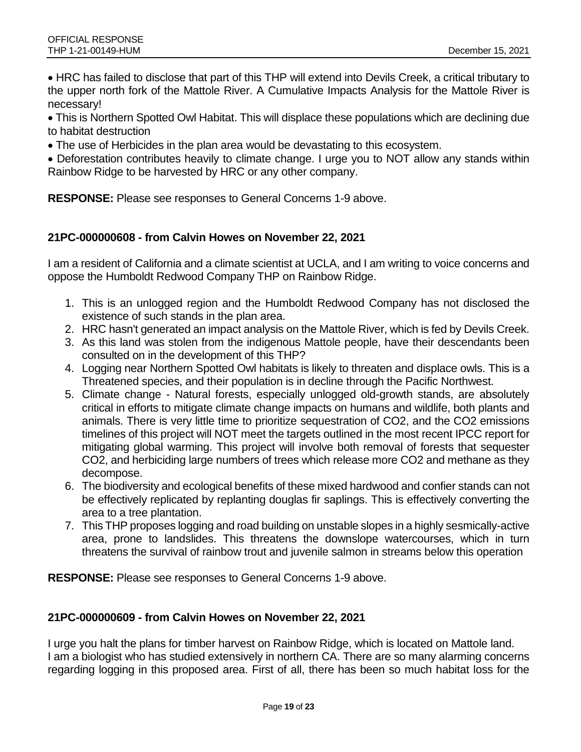• HRC has failed to disclose that part of this THP will extend into Devils Creek, a critical tributary to the upper north fork of the Mattole River. A Cumulative Impacts Analysis for the Mattole River is necessary!

• This is Northern Spotted Owl Habitat. This will displace these populations which are declining due to habitat destruction

• The use of Herbicides in the plan area would be devastating to this ecosystem.

• Deforestation contributes heavily to climate change. I urge you to NOT allow any stands within Rainbow Ridge to be harvested by HRC or any other company.

**RESPONSE:** Please see responses to General Concerns 1-9 above.

#### **21PC-000000608 - from Calvin Howes on November 22, 2021**

I am a resident of California and a climate scientist at UCLA, and I am writing to voice concerns and oppose the Humboldt Redwood Company THP on Rainbow Ridge.

- 1. This is an unlogged region and the Humboldt Redwood Company has not disclosed the existence of such stands in the plan area.
- 2. HRC hasn't generated an impact analysis on the Mattole River, which is fed by Devils Creek.
- 3. As this land was stolen from the indigenous Mattole people, have their descendants been consulted on in the development of this THP?
- 4. Logging near Northern Spotted Owl habitats is likely to threaten and displace owls. This is a Threatened species, and their population is in decline through the Pacific Northwest.
- 5. Climate change Natural forests, especially unlogged old-growth stands, are absolutely critical in efforts to mitigate climate change impacts on humans and wildlife, both plants and animals. There is very little time to prioritize sequestration of CO2, and the CO2 emissions timelines of this project will NOT meet the targets outlined in the most recent IPCC report for mitigating global warming. This project will involve both removal of forests that sequester CO2, and herbiciding large numbers of trees which release more CO2 and methane as they decompose.
- 6. The biodiversity and ecological benefits of these mixed hardwood and confier stands can not be effectively replicated by replanting douglas fir saplings. This is effectively converting the area to a tree plantation.
- 7. This THP proposes logging and road building on unstable slopes in a highly sesmically-active area, prone to landslides. This threatens the downslope watercourses, which in turn threatens the survival of rainbow trout and juvenile salmon in streams below this operation

**RESPONSE:** Please see responses to General Concerns 1-9 above.

#### **21PC-000000609 - from Calvin Howes on November 22, 2021**

I urge you halt the plans for timber harvest on Rainbow Ridge, which is located on Mattole land. I am a biologist who has studied extensively in northern CA. There are so many alarming concerns regarding logging in this proposed area. First of all, there has been so much habitat loss for the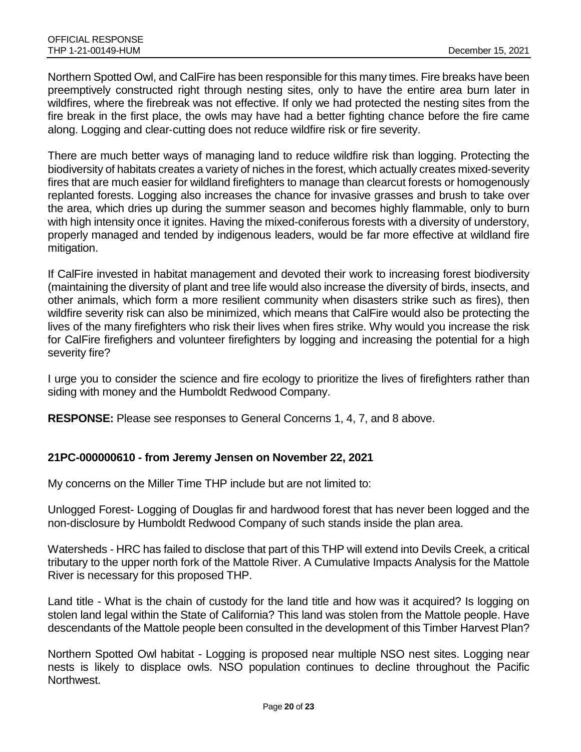Northern Spotted Owl, and CalFire has been responsible for this many times. Fire breaks have been preemptively constructed right through nesting sites, only to have the entire area burn later in wildfires, where the firebreak was not effective. If only we had protected the nesting sites from the fire break in the first place, the owls may have had a better fighting chance before the fire came along. Logging and clear‐cutting does not reduce wildfire risk or fire severity.

There are much better ways of managing land to reduce wildfire risk than logging. Protecting the biodiversity of habitats creates a variety of niches in the forest, which actually creates mixed‐severity fires that are much easier for wildland firefighters to manage than clearcut forests or homogenously replanted forests. Logging also increases the chance for invasive grasses and brush to take over the area, which dries up during the summer season and becomes highly flammable, only to burn with high intensity once it ignites. Having the mixed-coniferous forests with a diversity of understory, properly managed and tended by indigenous leaders, would be far more effective at wildland fire mitigation.

If CalFire invested in habitat management and devoted their work to increasing forest biodiversity (maintaining the diversity of plant and tree life would also increase the diversity of birds, insects, and other animals, which form a more resilient community when disasters strike such as fires), then wildfire severity risk can also be minimized, which means that CalFire would also be protecting the lives of the many firefighters who risk their lives when fires strike. Why would you increase the risk for CalFire firefighers and volunteer firefighters by logging and increasing the potential for a high severity fire?

I urge you to consider the science and fire ecology to prioritize the lives of firefighters rather than siding with money and the Humboldt Redwood Company.

**RESPONSE:** Please see responses to General Concerns 1, 4, 7, and 8 above.

#### **21PC-000000610 - from Jeremy Jensen on November 22, 2021**

My concerns on the Miller Time THP include but are not limited to:

Unlogged Forest- Logging of Douglas fir and hardwood forest that has never been logged and the non-disclosure by Humboldt Redwood Company of such stands inside the plan area.

Watersheds - HRC has failed to disclose that part of this THP will extend into Devils Creek, a critical tributary to the upper north fork of the Mattole River. A Cumulative Impacts Analysis for the Mattole River is necessary for this proposed THP.

Land title - What is the chain of custody for the land title and how was it acquired? Is logging on stolen land legal within the State of California? This land was stolen from the Mattole people. Have descendants of the Mattole people been consulted in the development of this Timber Harvest Plan?

Northern Spotted Owl habitat - Logging is proposed near multiple NSO nest sites. Logging near nests is likely to displace owls. NSO population continues to decline throughout the Pacific Northwest.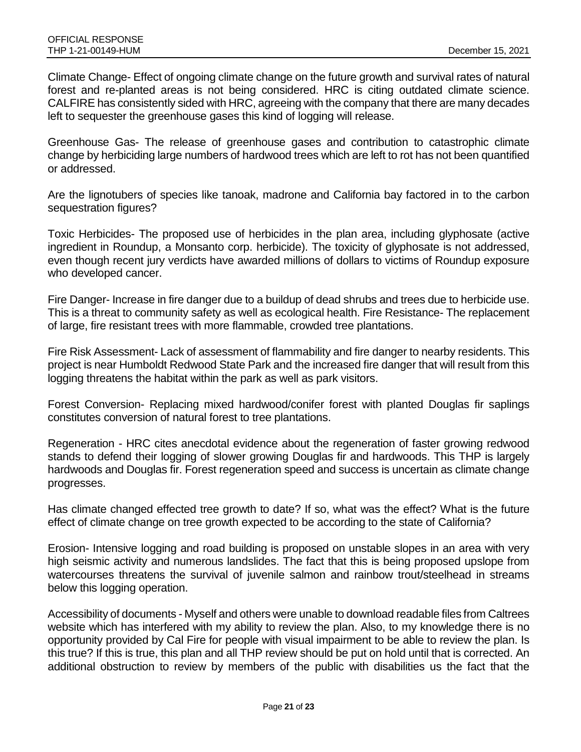Climate Change- Effect of ongoing climate change on the future growth and survival rates of natural forest and re-planted areas is not being considered. HRC is citing outdated climate science. CALFIRE has consistently sided with HRC, agreeing with the company that there are many decades left to sequester the greenhouse gases this kind of logging will release.

Greenhouse Gas- The release of greenhouse gases and contribution to catastrophic climate change by herbiciding large numbers of hardwood trees which are left to rot has not been quantified or addressed.

Are the lignotubers of species like tanoak, madrone and California bay factored in to the carbon sequestration figures?

Toxic Herbicides- The proposed use of herbicides in the plan area, including glyphosate (active ingredient in Roundup, a Monsanto corp. herbicide). The toxicity of glyphosate is not addressed, even though recent jury verdicts have awarded millions of dollars to victims of Roundup exposure who developed cancer.

Fire Danger- Increase in fire danger due to a buildup of dead shrubs and trees due to herbicide use. This is a threat to community safety as well as ecological health. Fire Resistance- The replacement of large, fire resistant trees with more flammable, crowded tree plantations.

Fire Risk Assessment- Lack of assessment of flammability and fire danger to nearby residents. This project is near Humboldt Redwood State Park and the increased fire danger that will result from this logging threatens the habitat within the park as well as park visitors.

Forest Conversion- Replacing mixed hardwood/conifer forest with planted Douglas fir saplings constitutes conversion of natural forest to tree plantations.

Regeneration - HRC cites anecdotal evidence about the regeneration of faster growing redwood stands to defend their logging of slower growing Douglas fir and hardwoods. This THP is largely hardwoods and Douglas fir. Forest regeneration speed and success is uncertain as climate change progresses.

Has climate changed effected tree growth to date? If so, what was the effect? What is the future effect of climate change on tree growth expected to be according to the state of California?

Erosion- Intensive logging and road building is proposed on unstable slopes in an area with very high seismic activity and numerous landslides. The fact that this is being proposed upslope from watercourses threatens the survival of juvenile salmon and rainbow trout/steelhead in streams below this logging operation.

Accessibility of documents - Myself and others were unable to download readable files from Caltrees website which has interfered with my ability to review the plan. Also, to my knowledge there is no opportunity provided by Cal Fire for people with visual impairment to be able to review the plan. Is this true? If this is true, this plan and all THP review should be put on hold until that is corrected. An additional obstruction to review by members of the public with disabilities us the fact that the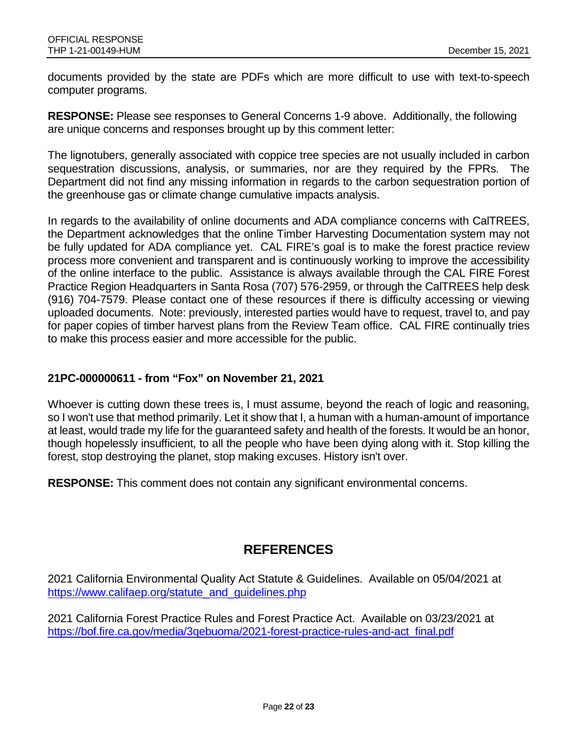documents provided by the state are PDFs which are more difficult to use with text-to-speech computer programs.

**RESPONSE:** Please see responses to General Concerns 1-9 above. Additionally, the following are unique concerns and responses brought up by this comment letter:

The lignotubers, generally associated with coppice tree species are not usually included in carbon sequestration discussions, analysis, or summaries, nor are they required by the FPRs. The Department did not find any missing information in regards to the carbon sequestration portion of the greenhouse gas or climate change cumulative impacts analysis.

In regards to the availability of online documents and ADA compliance concerns with CalTREES, the Department acknowledges that the online Timber Harvesting Documentation system may not be fully updated for ADA compliance yet. CAL FIRE's goal is to make the forest practice review process more convenient and transparent and is continuously working to improve the accessibility of the online interface to the public. Assistance is always available through the CAL FIRE Forest Practice Region Headquarters in Santa Rosa (707) 576-2959, or through the CalTREES help desk (916) 704-7579. Please contact one of these resources if there is difficulty accessing or viewing uploaded documents. Note: previously, interested parties would have to request, travel to, and pay for paper copies of timber harvest plans from the Review Team office. CAL FIRE continually tries to make this process easier and more accessible for the public.

#### **21PC-000000611 - from "Fox" on November 21, 2021**

Whoever is cutting down these trees is, I must assume, beyond the reach of logic and reasoning, so I won't use that method primarily. Let it show that I, a human with a human-amount of importance at least, would trade my life for the guaranteed safety and health of the forests. It would be an honor, though hopelessly insufficient, to all the people who have been dying along with it. Stop killing the forest, stop destroying the planet, stop making excuses. History isn't over.

**RESPONSE:** This comment does not contain any significant environmental concerns.

## **REFERENCES**

2021 California Environmental Quality Act Statute & Guidelines. Available on 05/04/2021 at [https://www.califaep.org/statute\\_and\\_guidelines.php](https://www.califaep.org/statute_and_guidelines.php)

2021 California Forest Practice Rules and Forest Practice Act. Available on 03/23/2021 at [https://bof.fire.ca.gov/media/3qebuoma/2021-forest-practice-rules-and-act\\_final.pdf](https://bof.fire.ca.gov/media/3qebuoma/2021-forest-practice-rules-and-act_final.pdf)